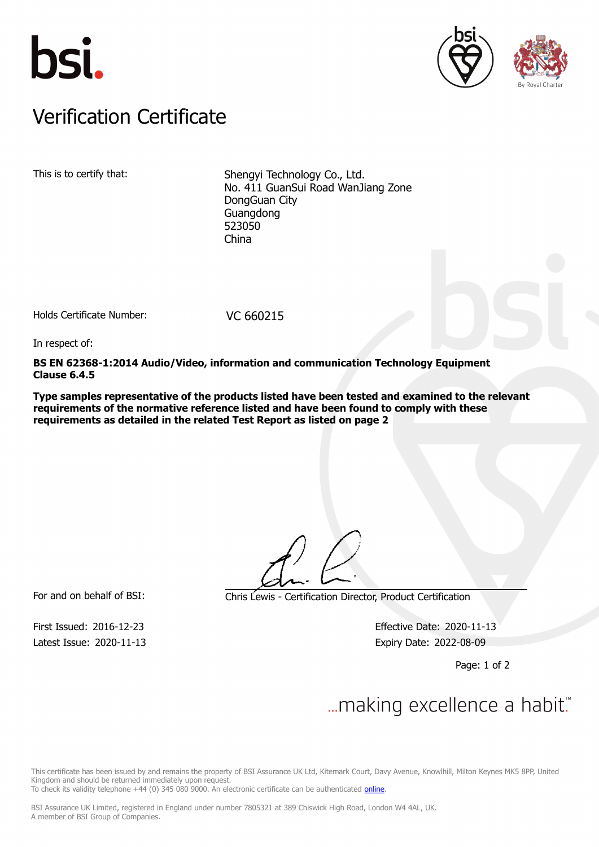





## Verification Certificate Verification Certificate

This is to certify that: Shengyi Technology Co., Ltd. No. 411 GuanSui Road WanJiang Zone DongGuan City Guangdong 523050 China

Holds Certificate Number: VC 660215

In respect of:

**BS EN 62368-1:2014 Audio/Video, information and communication Technology Equipment Clause 6.4.5**

**Type samples representative of the products listed have been tested and examined to the relevant requirements of the normative reference listed and have been found to comply with these requirements as detailed in the related Test Report as listed on page 2**

Latest Issue: 2020-11-13 Expiry Date: 2022-08-09

For and on behalf of BSI: Chris Lewis - Certification Director, Product Certification

First Issued: 2016-12-23 Effective Date: 2020-11-13

Page: 1 of 2

## $\mathcal{L}$

This certificate has been issued by and remains the property of BSI Assurance UK Ltd, Kitemark Court, Davy Avenue, Knowlhill, Milton Keynes MK5 8PP, United Kingdom and should be returned immediately upon request.

To check its validity telephone +44 (0) 345 080 9000. An electronic certificate can be authenticated *[online](https://pgplus.bsigroup.com/CertificateValidation/CertificateValidator.aspx?CertificateNumber=VC+660215&ReIssueDate=13%2f11%2f2020&Template=uk)*.